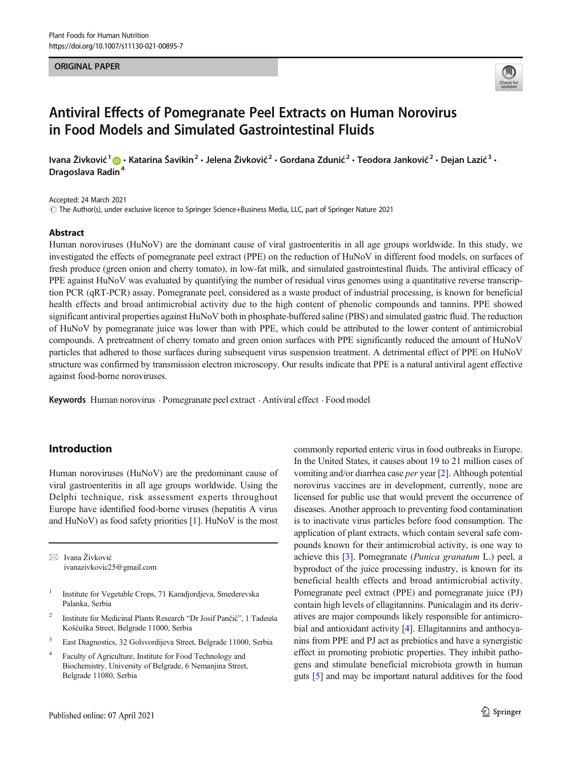#### ORIGINAL PAPER



# Antiviral Effects of Pomegranate Peel Extracts on Human Norovirus in Food Models and Simulated Gastrointestinal Fluids

Ivana Živković<sup>1</sup> @ · Katarina Šavikin<sup>2</sup> · Jelena Živković<sup>2</sup> · Gordana Zdunić<sup>2</sup> · Teodora Janković<sup>2</sup> · Dejan Lazić<sup>3</sup> · Dragoslava Radin<sup>4</sup>

Accepted: 24 March 2021

 $\degree$  The Author(s), under exclusive licence to Springer Science+Business Media, LLC, part of Springer Nature 2021

#### Abstract

Human noroviruses (HuNoV) are the dominant cause of viral gastroenteritis in all age groups worldwide. In this study, we investigated the effects of pomegranate peel extract (PPE) on the reduction of HuNoV in different food models, on surfaces of fresh produce (green onion and cherry tomato), in low-fat milk, and simulated gastrointestinal fluids. The antiviral efficacy of PPE against HuNoV was evaluated by quantifying the number of residual virus genomes using a quantitative reverse transcription PCR (qRT-PCR) assay. Pomegranate peel, considered as a waste product of industrial processing, is known for beneficial health effects and broad antimicrobial activity due to the high content of phenolic compounds and tannins. PPE showed significant antiviral properties against HuNoV both in phosphate-buffered saline (PBS) and simulated gastric fluid. The reduction of HuNoV by pomegranate juice was lower than with PPE, which could be attributed to the lower content of antimicrobial compounds. A pretreatment of cherry tomato and green onion surfaces with PPE significantly reduced the amount of HuNoV particles that adhered to those surfaces during subsequent virus suspension treatment. A detrimental effect of PPE on HuNoV structure was confirmed by transmission electron microscopy. Our results indicate that PPE is a natural antiviral agent effective against food-borne noroviruses.

Keywords Human norovirus . Pomegranate peel extract . Antiviral effect . Food model

## Introduction

Human noroviruses (HuNoV) are the predominant cause of viral gastroenteritis in all age groups worldwide. Using the Delphi technique, risk assessment experts throughout Europe have identified food-borne viruses (hepatitis A virus and HuNoV) as food safety priorities [[1\]](#page-5-0). HuNoV is the most

 $\boxtimes$  Ivana Živković [ivanazivkovic25@gmail.com](mailto:ivanazivkovic25@gmail.com)

- <sup>1</sup> Institute for Vegetable Crops, 71 Karadjordjeva, Smederevska Palanka, Serbia
- <sup>2</sup> Institute for Medicinal Plants Research "Dr Josif Pančić", 1 Tadeuša Košćuška Street, Belgrade 11000, Serbia
- <sup>3</sup> East Diagnostics, 32 Golsvordijeva Street, Belgrade 11000, Serbia
- <sup>4</sup> Faculty of Agriculture, Institute for Food Technology and Biochemistry, University of Belgrade, 6 Nemanjina Street, Belgrade 11080, Serbia

commonly reported enteric virus in food outbreaks in Europe. In the United States, it causes about 19 to 21 million cases of vomiting and/or diarrhea case per year [\[2](#page-5-0)]. Although potential norovirus vaccines are in development, currently, none are licensed for public use that would prevent the occurrence of diseases. Another approach to preventing food contamination is to inactivate virus particles before food consumption. The application of plant extracts, which contain several safe compounds known for their antimicrobial activity, is one way to achieve this [[3](#page-5-0)]. Pomegranate (Punica granatum L.) peel, a byproduct of the juice processing industry, is known for its beneficial health effects and broad antimicrobial activity. Pomegranate peel extract (PPE) and pomegranate juice (PJ) contain high levels of ellagitannins. Punicalagin and its derivatives are major compounds likely responsible for antimicrobial and antioxidant activity [[4\]](#page-5-0). Ellagitannins and anthocyanins from PPE and PJ act as prebiotics and have a synergistic effect in promoting probiotic properties. They inhibit pathogens and stimulate beneficial microbiota growth in human guts [[5](#page-5-0)] and may be important natural additives for the food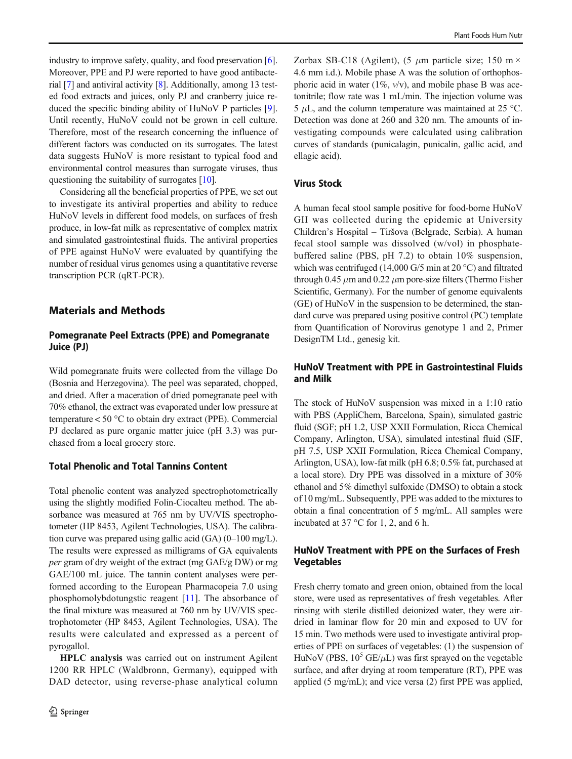industry to improve safety, quality, and food preservation [[6\]](#page-5-0). Moreover, PPE and PJ were reported to have good antibacterial [\[7](#page-5-0)] and antiviral activity [[8\]](#page-5-0). Additionally, among 13 tested food extracts and juices, only PJ and cranberry juice reduced the specific binding ability of HuNoV P particles [[9\]](#page-5-0). Until recently, HuNoV could not be grown in cell culture. Therefore, most of the research concerning the influence of different factors was conducted on its surrogates. The latest data suggests HuNoV is more resistant to typical food and environmental control measures than surrogate viruses, thus questioning the suitability of surrogates [\[10](#page-5-0)].

Considering all the beneficial properties of PPE, we set out to investigate its antiviral properties and ability to reduce HuNoV levels in different food models, on surfaces of fresh produce, in low-fat milk as representative of complex matrix and simulated gastrointestinal fluids. The antiviral properties of PPE against HuNoV were evaluated by quantifying the number of residual virus genomes using a quantitative reverse transcription PCR (qRT-PCR).

## Materials and Methods

## Pomegranate Peel Extracts (PPE) and Pomegranate Juice (PJ)

Wild pomegranate fruits were collected from the village Do (Bosnia and Herzegovina). The peel was separated, chopped, and dried. After a maceration of dried pomegranate peel with 70% ethanol, the extract was evaporated under low pressure at temperature < 50 °C to obtain dry extract (PPE). Commercial PJ declared as pure organic matter juice (pH 3.3) was purchased from a local grocery store.

# Total Phenolic and Total Tannins Content

Total phenolic content was analyzed spectrophotometrically using the slightly modified Folin-Ciocalteu method. The absorbance was measured at 765 nm by UV/VIS spectrophotometer (HP 8453, Agilent Technologies, USA). The calibration curve was prepared using gallic acid (GA) (0–100 mg/L). The results were expressed as milligrams of GA equivalents per gram of dry weight of the extract (mg GAE/g DW) or mg GAE/100 mL juice. The tannin content analyses were performed according to the European Pharmacopeia 7.0 using phosphomolybdotungstic reagent [[11\]](#page-5-0). The absorbance of the final mixture was measured at 760 nm by UV/VIS spectrophotometer (HP 8453, Agilent Technologies, USA). The results were calculated and expressed as a percent of pyrogallol.

HPLC analysis was carried out on instrument Agilent 1200 RR HPLC (Waldbronn, Germany), equipped with DAD detector, using reverse-phase analytical column Zorbax SB-C18 (Agilent),  $(5 \mu m)$  particle size; 150 m  $\times$ 4.6 mm i.d.). Mobile phase A was the solution of orthophosphoric acid in water  $(1\%, v/v)$ , and mobile phase B was acetonitrile; flow rate was 1 mL/min. The injection volume was 5  $\mu$ L, and the column temperature was maintained at 25 °C. Detection was done at 260 and 320 nm. The amounts of investigating compounds were calculated using calibration curves of standards (punicalagin, punicalin, gallic acid, and ellagic acid).

# Virus Stock

A human fecal stool sample positive for food-borne HuNoV GII was collected during the epidemic at University Children's Hospital – Tiršova (Belgrade, Serbia). A human fecal stool sample was dissolved (w/vol) in phosphatebuffered saline (PBS, pH 7.2) to obtain 10% suspension, which was centrifuged (14,000 G/5 min at 20 °C) and filtrated through 0.45  $\mu$ m and 0.22  $\mu$ m pore-size filters (Thermo Fisher Scientific, Germany). For the number of genome equivalents (GE) of HuNoV in the suspension to be determined, the standard curve was prepared using positive control (PC) template from Quantification of Norovirus genotype 1 and 2, Primer DesignTM Ltd., genesig kit.

# HuNoV Treatment with PPE in Gastrointestinal Fluids and Milk

The stock of HuNoV suspension was mixed in a 1:10 ratio with PBS (AppliChem, Barcelona, Spain), simulated gastric fluid (SGF; pH 1.2, USP XXII Formulation, Ricca Chemical Company, Arlington, USA), simulated intestinal fluid (SIF, pH 7.5, USP XXII Formulation, Ricca Chemical Company, Arlington, USA), low-fat milk (pH 6.8; 0.5% fat, purchased at a local store). Dry PPE was dissolved in a mixture of 30% ethanol and 5% dimethyl sulfoxide (DMSO) to obtain a stock of 10 mg/mL. Subsequently, PPE was added to the mixtures to obtain a final concentration of 5 mg/mL. All samples were incubated at 37 °C for 1, 2, and 6 h.

# HuNoV Treatment with PPE on the Surfaces of Fresh Vegetables

Fresh cherry tomato and green onion, obtained from the local store, were used as representatives of fresh vegetables. After rinsing with sterile distilled deionized water, they were airdried in laminar flow for 20 min and exposed to UV for 15 min. Two methods were used to investigate antiviral properties of PPE on surfaces of vegetables: (1) the suspension of HuNoV (PBS,  $10^5$  GE/ $\mu$ L) was first sprayed on the vegetable surface, and after drying at room temperature (RT), PPE was applied (5 mg/mL); and vice versa (2) first PPE was applied,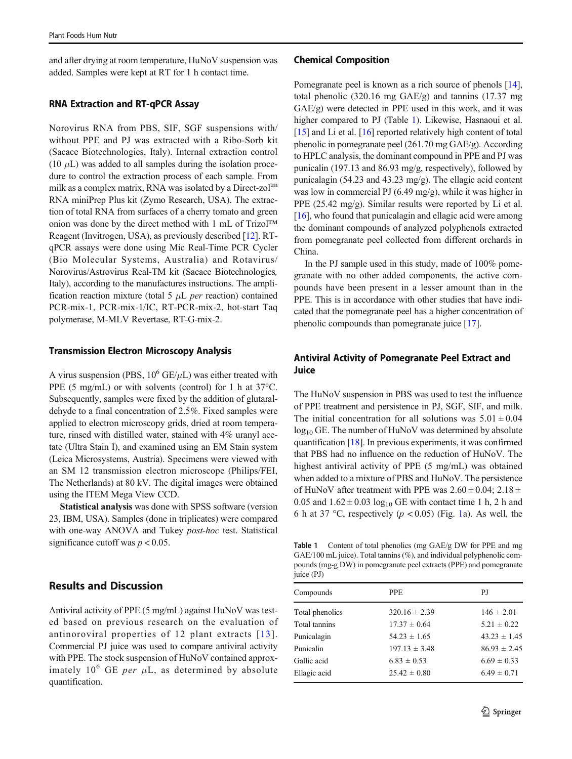and after drying at room temperature, HuNoV suspension was added. Samples were kept at RT for 1 h contact time.

#### RNA Extraction and RT-qPCR Assay

Norovirus RNA from PBS, SIF, SGF suspensions with/ without PPE and PJ was extracted with a Ribo-Sorb kit (Sacace Biotechnologies, Italy). Internal extraction control (10  $\mu$ L) was added to all samples during the isolation procedure to control the extraction process of each sample. From milk as a complex matrix, RNA was isolated by a Direct-zol<sup>tm</sup> RNA miniPrep Plus kit (Zymo Research, USA). The extraction of total RNA from surfaces of a cherry tomato and green onion was done by the direct method with 1 mL of Trizol™ Reagent (Invitrogen, USA), as previously described [[12\]](#page-5-0). RTqPCR assays were done using Mic Real-Time PCR Cycler (Bio Molecular Systems, Australia) and Rotavirus/ Norovirus/Astrovirus Real-TM kit (Sacace Biotechnologies, Italy), according to the manufactures instructions. The amplification reaction mixture (total 5  $\mu$ L *per* reaction) contained PCR-mix-1, PCR-mix-1/IC, RT-PCR-mix-2, hot-start Taq polymerase, M-MLV Revertase, RT-G-mix-2.

#### Transmission Electron Microscopy Analysis

A virus suspension (PBS,  $10^6$  GE/ $\mu$ L) was either treated with PPE (5 mg/mL) or with solvents (control) for 1 h at 37°C. Subsequently, samples were fixed by the addition of glutaraldehyde to a final concentration of 2.5%. Fixed samples were applied to electron microscopy grids, dried at room temperature, rinsed with distilled water, stained with 4% uranyl acetate (Ultra Stain I), and examined using an EM Stain system (Leica Microsystems, Austria). Specimens were viewed with an SM 12 transmission electron microscope (Philips/FEI, The Netherlands) at 80 kV. The digital images were obtained using the ITEM Mega View CCD.

Statistical analysis was done with SPSS software (version 23, IBM, USA). Samples (done in triplicates) were compared with one-way ANOVA and Tukey *post-hoc* test. Statistical significance cutoff was  $p < 0.05$ .

# Results and Discussion

Antiviral activity of PPE (5 mg/mL) against HuNoV was tested based on previous research on the evaluation of antinoroviral properties of 12 plant extracts [[13\]](#page-5-0). Commercial PJ juice was used to compare antiviral activity with PPE. The stock suspension of HuNoV contained approximately  $10^6$  GE per  $\mu$ L, as determined by absolute quantification.

#### Chemical Composition

Pomegranate peel is known as a rich source of phenols [[14\]](#page-5-0), total phenolic (320.16 mg GAE/g) and tannins (17.37 mg GAE/g) were detected in PPE used in this work, and it was higher compared to PJ (Table 1). Likewise, Hasnaoui et al. [\[15](#page-5-0)] and Li et al. [[16\]](#page-5-0) reported relatively high content of total phenolic in pomegranate peel (261.70 mg GAE/g). According to HPLC analysis, the dominant compound in PPE and PJ was punicalin (197.13 and 86.93 mg/g, respectively), followed by punicalagin (54.23 and 43.23 mg/g). The ellagic acid content was low in commercial PJ (6.49 mg/g), while it was higher in PPE (25.42 mg/g). Similar results were reported by Li et al. [\[16](#page-5-0)], who found that punicalagin and ellagic acid were among the dominant compounds of analyzed polyphenols extracted from pomegranate peel collected from different orchards in China.

In the PJ sample used in this study, made of 100% pomegranate with no other added components, the active compounds have been present in a lesser amount than in the PPE. This is in accordance with other studies that have indicated that the pomegranate peel has a higher concentration of phenolic compounds than pomegranate juice [\[17](#page-5-0)].

## Antiviral Activity of Pomegranate Peel Extract and **Juice**

The HuNoV suspension in PBS was used to test the influence of PPE treatment and persistence in PJ, SGF, SIF, and milk. The initial concentration for all solutions was  $5.01 \pm 0.04$  $log_{10}$  GE. The number of HuNoV was determined by absolute quantification [[18\]](#page-5-0). In previous experiments, it was confirmed that PBS had no influence on the reduction of HuNoV. The highest antiviral activity of PPE (5 mg/mL) was obtained when added to a mixture of PBS and HuNoV. The persistence of HuNoV after treatment with PPE was  $2.60 \pm 0.04$ ;  $2.18 \pm$ 0.05 and  $1.62 \pm 0.03 \log_{10}$  GE with contact time 1 h, 2 h and 6 h at 37 °C, respectively ( $p < 0.05$ ) (Fig. [1](#page-4-0)a). As well, the

Table 1 Content of total phenolics (mg GAE/g DW for PPE and mg GAE/100 mL juice). Total tannins (%), and individual polyphenolic compounds (mg-g DW) in pomegranate peel extracts (PPE) and pomegranate juice (PJ)

| Compounds       | <b>PPE</b>        | P.J              |
|-----------------|-------------------|------------------|
| Total phenolics | $320.16 \pm 2.39$ | $146 \pm 2.01$   |
| Total tannins   | $17.37 \pm 0.64$  | $5.21 \pm 0.22$  |
| Punicalagin     | $54.23 \pm 1.65$  | $43.23 \pm 1.45$ |
| Punicalin       | $197.13 \pm 3.48$ | $86.93 \pm 2.45$ |
| Gallic acid     | $6.83 \pm 0.53$   | $6.69 \pm 0.33$  |
| Ellagic acid    | $25.42 \pm 0.80$  | $6.49 \pm 0.71$  |
|                 |                   |                  |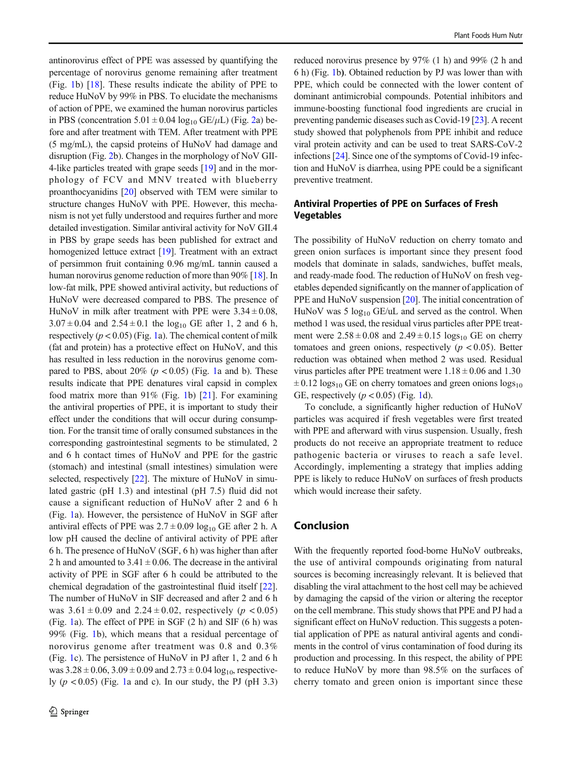antinorovirus effect of PPE was assessed by quantifying the percentage of norovirus genome remaining after treatment (Fig. [1b](#page-4-0)) [[18\]](#page-5-0). These results indicate the ability of PPE to reduce HuNoV by 99% in PBS. To elucidate the mechanisms of action of PPE, we examined the human norovirus particles in PBS (concentration  $5.01 \pm 0.04 \log_{10} \text{GE/}\mu\text{L}$ ) (Fig. [2a](#page-4-0)) before and after treatment with TEM. After treatment with PPE (5 mg/mL), the capsid proteins of HuNoV had damage and disruption (Fig. [2](#page-4-0)b). Changes in the morphology of NoV GII-4-like particles treated with grape seeds [\[19](#page-5-0)] and in the morphology of FCV and MNV treated with blueberry proanthocyanidins [\[20](#page-5-0)] observed with TEM were similar to structure changes HuNoV with PPE. However, this mechanism is not yet fully understood and requires further and more detailed investigation. Similar antiviral activity for NoV GII.4 in PBS by grape seeds has been published for extract and homogenized lettuce extract [\[19](#page-5-0)]. Treatment with an extract of persimmon fruit containing 0.96 mg/mL tannin caused a human norovirus genome reduction of more than 90% [[18](#page-5-0)]. In low-fat milk, PPE showed antiviral activity, but reductions of HuNoV were decreased compared to PBS. The presence of HuNoV in milk after treatment with PPE were  $3.34 \pm 0.08$ ,  $3.07 \pm 0.04$  and  $2.54 \pm 0.1$  the log<sub>10</sub> GE after 1, 2 and 6 h, respectively  $(p < 0.05)$  (Fig. [1a](#page-4-0)). The chemical content of milk (fat and protein) has a protective effect on HuNoV, and this has resulted in less reduction in the norovirus genome compared to PBS, about 20% ( $p < 0.05$ ) (Fig. [1a](#page-4-0) and b). These results indicate that PPE denatures viral capsid in complex food matrix more than  $91\%$  (Fig. [1b](#page-4-0)) [[21\]](#page-5-0). For examining the antiviral properties of PPE, it is important to study their effect under the conditions that will occur during consumption. For the transit time of orally consumed substances in the corresponding gastrointestinal segments to be stimulated, 2 and 6 h contact times of HuNoV and PPE for the gastric (stomach) and intestinal (small intestines) simulation were selected, respectively [\[22](#page-5-0)]. The mixture of HuNoV in simulated gastric (pH 1.3) and intestinal (pH 7.5) fluid did not cause a significant reduction of HuNoV after 2 and 6 h (Fig. [1a](#page-4-0)). However, the persistence of HuNoV in SGF after antiviral effects of PPE was  $2.7 \pm 0.09 \log_{10}$  GE after 2 h. A low pH caused the decline of antiviral activity of PPE after 6 h. The presence of HuNoV (SGF, 6 h) was higher than after 2 h and amounted to  $3.41 \pm 0.06$ . The decrease in the antiviral activity of PPE in SGF after 6 h could be attributed to the chemical degradation of the gastrointestinal fluid itself [[22\]](#page-5-0). The number of HuNoV in SIF decreased and after 2 and 6 h was  $3.61 \pm 0.09$  and  $2.24 \pm 0.02$ , respectively ( $p < 0.05$ ) (Fig. [1](#page-4-0)a). The effect of PPE in SGF (2 h) and SIF (6 h) was 99% (Fig. [1b](#page-4-0)), which means that a residual percentage of norovirus genome after treatment was 0.8 and 0.3% (Fig. [1](#page-4-0)c). The persistence of HuNoV in PJ after 1, 2 and 6 h was  $3.28 \pm 0.06$ ,  $3.09 \pm 0.09$  and  $2.73 \pm 0.04$  log<sub>10</sub>, respectively  $(p < 0.05)$  (Fig. [1](#page-4-0)a and c). In our study, the PJ (pH 3.3)

reduced norovirus presence by 97% (1 h) and 99% (2 h and 6 h) (Fig. [1](#page-4-0)b). Obtained reduction by PJ was lower than with PPE, which could be connected with the lower content of dominant antimicrobial compounds. Potential inhibitors and immune-boosting functional food ingredients are crucial in preventing pandemic diseases such as Covid-19 [\[23](#page-6-0)]. A recent study showed that polyphenols from PPE inhibit and reduce viral protein activity and can be used to treat SARS-CoV-2 infections [\[24](#page-6-0)]. Since one of the symptoms of Covid-19 infection and HuNoV is diarrhea, using PPE could be a significant preventive treatment.

# Antiviral Properties of PPE on Surfaces of Fresh **Vegetables**

The possibility of HuNoV reduction on cherry tomato and green onion surfaces is important since they present food models that dominate in salads, sandwiches, buffet meals, and ready-made food. The reduction of HuNoV on fresh vegetables depended significantly on the manner of application of PPE and HuNoV suspension [\[20](#page-5-0)]. The initial concentration of HuNoV was 5  $log_{10}$  GE/uL and served as the control. When method 1 was used, the residual virus particles after PPE treatment were  $2.58 \pm 0.08$  and  $2.49 \pm 0.15$  logs<sub>10</sub> GE on cherry tomatoes and green onions, respectively  $(p < 0.05)$ . Better reduction was obtained when method 2 was used. Residual virus particles after PPE treatment were  $1.18 \pm 0.06$  and  $1.30$  $\pm$  0.12 logs<sub>10</sub> GE on cherry tomatoes and green onions logs<sub>10</sub> GE, respectively  $(p < 0.05)$  (Fig. [1](#page-4-0)d).

To conclude, a significantly higher reduction of HuNoV particles was acquired if fresh vegetables were first treated with PPE and afterward with virus suspension. Usually, fresh products do not receive an appropriate treatment to reduce pathogenic bacteria or viruses to reach a safe level. Accordingly, implementing a strategy that implies adding PPE is likely to reduce HuNoV on surfaces of fresh products which would increase their safety.

## Conclusion

With the frequently reported food-borne HuNoV outbreaks, the use of antiviral compounds originating from natural sources is becoming increasingly relevant. It is believed that disabling the viral attachment to the host cell may be achieved by damaging the capsid of the virion or altering the receptor on the cell membrane. This study shows that PPE and PJ had a significant effect on HuNoV reduction. This suggests a potential application of PPE as natural antiviral agents and condiments in the control of virus contamination of food during its production and processing. In this respect, the ability of PPE to reduce HuNoV by more than 98.5% on the surfaces of cherry tomato and green onion is important since these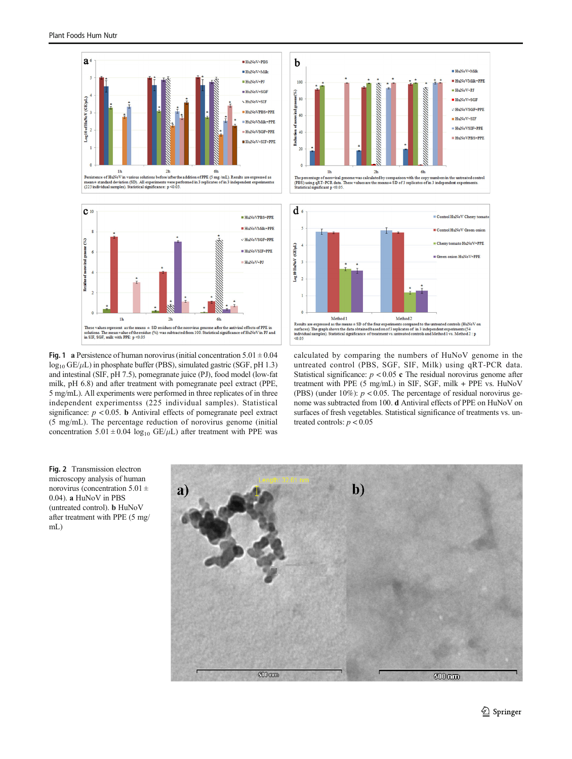<span id="page-4-0"></span>



Fig. 1 a Persistence of human norovirus (initial concentration  $5.01 \pm 0.04$  $log_{10}$  GE/ $\mu$ L) in phosphate buffer (PBS), simulated gastric (SGF, pH 1.3) and intestinal (SIF, pH 7.5), pomegranate juice (PJ), food model (low-fat milk, pH 6.8) and after treatment with pomegranate peel extract (PPE, 5 mg/mL). All experiments were performed in three replicates of in three independent experimentss (225 individual samples). Statistical significance:  $p < 0.05$ . **b** Antiviral effects of pomegranate peel extract (5 mg/mL). The percentage reduction of norovirus genome (initial concentration  $5.01 \pm 0.04 \log_{10} \text{GE/}\mu\text{L}$ ) after treatment with PPE was





calculated by comparing the numbers of HuNoV genome in the untreated control (PBS, SGF, SIF, Milk) using qRT-PCR data. Statistical significance:  $p < 0.05$  c The residual norovirus genome after treatment with PPE (5 mg/mL) in SIF, SGF, milk + PPE vs. HuNoV (PBS) (under 10%):  $p < 0.05$ . The percentage of residual norovirus genome was subtracted from 100. d Antiviral effects of PPE on HuNoV on surfaces of fresh vegetables. Statistical significance of treatments vs. untreated controls:  $p < 0.05$ 

Fig. 2 Transmission electron microscopy analysis of human norovirus (concentration  $5.01 \pm$ 0.04). a HuNoV in PBS (untreated control). b HuNoV after treatment with PPE (5 mg/ mL)

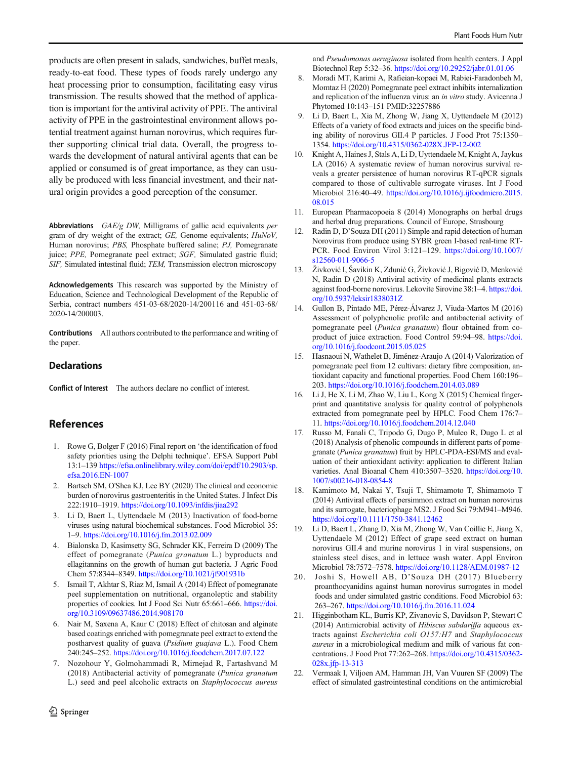<span id="page-5-0"></span>products are often present in salads, sandwiches, buffet meals, ready-to-eat food. These types of foods rarely undergo any heat processing prior to consumption, facilitating easy virus transmission. The results showed that the method of application is important for the antiviral activity of PPE. The antiviral activity of PPE in the gastrointestinal environment allows potential treatment against human norovirus, which requires further supporting clinical trial data. Overall, the progress towards the development of natural antiviral agents that can be applied or consumed is of great importance, as they can usually be produced with less financial investment, and their natural origin provides a good perception of the consumer.

Abbreviations  $GAE/g$  DW, Milligrams of gallic acid equivalents per gram of dry weight of the extract; GE, Genome equivalents; HuNoV, Human norovirus; PBS, Phosphate buffered saline; PJ, Pomegranate juice; PPE, Pomegranate peel extract; SGF, Simulated gastric fluid; SIF, Simulated intestinal fluid; TEM, Transmission electron microscopy

Acknowledgements This research was supported by the Ministry of Education, Science and Technological Development of the Republic of Serbia, contract numbers 451-03-68/2020-14/200116 and 451-03-68/ 2020-14/200003.

Contributions All authors contributed to the performance and writing of the paper.

#### **Declarations**

Conflict of Interest The authors declare no conflict of interest.

## References

- 1. Rowe G, Bolger F (2016) Final report on 'the identification of food safety priorities using the Delphi technique'. EFSA Support Publ 13:1–139 [https://efsa.onlinelibrary.wiley.com/doi/epdf/10.2903/sp.](https://efsa.onlinelibrary.wiley.com/doi/epdf/10.2903/sp.efsa.2016.EN-1007) [efsa.2016.EN-1007](https://efsa.onlinelibrary.wiley.com/doi/epdf/10.2903/sp.efsa.2016.EN-1007)
- 2. Bartsch SM, O'Shea KJ, Lee BY (2020) The clinical and economic burden of norovirus gastroenteritis in the United States. J Infect Dis 222:1910–1919. <https://doi.org/10.1093/infdis/jiaa292>
- 3. Li D, Baert L, Uyttendaele M (2013) Inactivation of food-borne viruses using natural biochemical substances. Food Microbiol 35: 1–9. <https://doi.org/10.1016/j.fm.2013.02.009>
- 4. Bialonska D, Kasimsetty SG, Schrader KK, Ferreira D (2009) The effect of pomegranate (Punica granatum L.) byproducts and ellagitannins on the growth of human gut bacteria. J Agric Food Chem 57:8344–8349. <https://doi.org/10.1021/jf901931b>
- 5. Ismail T, Akhtar S, Riaz M, Ismail A (2014) Effect of pomegranate peel supplementation on nutritional, organoleptic and stability properties of cookies. Int J Food Sci Nutr 65:661–666. [https://doi.](https://doi.org/10.3109/09637486.2014.908170) [org/10.3109/09637486.2014.908170](https://doi.org/10.3109/09637486.2014.908170)
- 6. Nair M, Saxena A, Kaur C (2018) Effect of chitosan and alginate based coatings enriched with pomegranate peel extract to extend the postharvest quality of guava (Psidium guajava L.). Food Chem 240:245–252. <https://doi.org/10.1016/j.foodchem.2017.07.122>
- 7. Nozohour Y, Golmohammadi R, Mirnejad R, Fartashvand M (2018) Antibacterial activity of pomegranate (Punica granatum L.) seed and peel alcoholic extracts on Staphylococcus aureus

and Pseudomonas aeruginosa isolated from health centers. J Appl Biotechnol Rep 5:32–36. <https://doi.org/10.29252/jabr.01.01.06>

- 8. Moradi MT, Karimi A, Rafieian-kopaei M, Rabiei-Faradonbeh M, Momtaz H (2020) Pomegranate peel extract inhibits internalization and replication of the influenza virus: an in vitro study. Avicenna J Phytomed 10:143–151 PMID:32257886
- 9. Li D, Baert L, Xia M, Zhong W, Jiang X, Uyttendaele M (2012) Effects of a variety of food extracts and juices on the specific binding ability of norovirus GII.4 P particles. J Food Prot 75:1350– 1354. <https://doi.org/10.4315/0362-028X.JFP-12-002>
- 10. Knight A, Haines J, Stals A, Li D, Uyttendaele M, Knight A, Jaykus LA (2016) A systematic review of human norovirus survival reveals a greater persistence of human norovirus RT-qPCR signals compared to those of cultivable surrogate viruses. Int J Food Microbiol 216:40–49. [https://doi.org/10.1016/j.ijfoodmicro.2015.](https://doi.org/10.1016/j.ijfoodmicro.2015.08.015) [08.015](https://doi.org/10.1016/j.ijfoodmicro.2015.08.015)
- 11. European Pharmacopoeia 8 (2014) Monographs on herbal drugs and herbal drug preparations. Council of Europe, Strasbourg
- 12. Radin D, D'Souza DH (2011) Simple and rapid detection of human Norovirus from produce using SYBR green I-based real-time RT-PCR. Food Environ Virol 3:121–129. [https://doi.org/10.1007/](https://doi.org/10.1007/s12560-011-9066-5) [s12560-011-9066-5](https://doi.org/10.1007/s12560-011-9066-5)
- 13. Živković I, Šavikin K, Zdunić G, Živković J, Bigović D, Menković N, Radin D (2018) Antiviral activity of medicinal plants extracts against food-borne norovirus. Lekovite Sirovine 38:1–4. [https://doi.](https://doi.org/10.5937/leksir1838031Z) [org/10.5937/leksir1838031Z](https://doi.org/10.5937/leksir1838031Z)
- 14. Gullon B, Pintado ME, Pérez-Álvarez J, Viuda-Martos M (2016) Assessment of polyphenolic profile and antibacterial activity of pomegranate peel (Punica granatum) flour obtained from coproduct of juice extraction. Food Control 59:94–98. [https://doi.](https://doi.org/10.1016/j.foodcont.2015.05.025) [org/10.1016/j.foodcont.2015.05.025](https://doi.org/10.1016/j.foodcont.2015.05.025)
- 15. Hasnaoui N, Wathelet B, Jiménez-Araujo A (2014) Valorization of pomegranate peel from 12 cultivars: dietary fibre composition, antioxidant capacity and functional properties. Food Chem 160:196– 203. <https://doi.org/10.1016/j.foodchem.2014.03.089>
- 16. Li J, He X, Li M, Zhao W, Liu L, Kong X (2015) Chemical fingerprint and quantitative analysis for quality control of polyphenols extracted from pomegranate peel by HPLC. Food Chem 176:7– 11. <https://doi.org/10.1016/j.foodchem.2014.12.040>
- 17. Russo M, Fanali C, Tripodo G, Dugo P, Muleo R, Dugo L et al (2018) Analysis of phenolic compounds in different parts of pomegranate (Punica granatum) fruit by HPLC-PDA-ESI/MS and evaluation of their antioxidant activity: application to different Italian varieties. Anal Bioanal Chem 410:3507-3520. [https://doi.org/10.](https://doi.org/10.1007/s00216-018-0854-8) [1007/s00216-018-0854-8](https://doi.org/10.1007/s00216-018-0854-8)
- 18. Kamimoto M, Nakai Y, Tsuji T, Shimamoto T, Shimamoto T (2014) Antiviral effects of persimmon extract on human norovirus and its surrogate, bacteriophage MS2. J Food Sci 79:M941–M946. <https://doi.org/10.1111/1750-3841.12462>
- 19. Li D, Baert L, Zhang D, Xia M, Zhong W, Van Coillie E, Jiang X, Uyttendaele M (2012) Effect of grape seed extract on human norovirus GII.4 and murine norovirus 1 in viral suspensions, on stainless steel discs, and in lettuce wash water. Appl Environ Microbiol 78:7572–7578. <https://doi.org/10.1128/AEM.01987-12>
- 20. Joshi S, Howell AB, D'Souza DH (2017) Blueberry proanthocyanidins against human norovirus surrogates in model foods and under simulated gastric conditions. Food Microbiol 63: 263–267. <https://doi.org/10.1016/j.fm.2016.11.024>
- 21. Higginbotham KL, Burris KP, Zivanovic S, Davidson P, Stewart C (2014) Antimicrobial activity of Hibiscus sabdariffa aqueous extracts against Escherichia coli O157:H7 and Staphylococcus aureus in a microbiological medium and milk of various fat concentrations. J Food Prot 77:262–268. [https://doi.org/10.4315/0362-](https://doi.org/10.4315/0362-028x.jfp-13-313) [028x.jfp-13-313](https://doi.org/10.4315/0362-028x.jfp-13-313)
- 22. Vermaak I, Viljoen AM, Hamman JH, Van Vuuren SF (2009) The effect of simulated gastrointestinal conditions on the antimicrobial